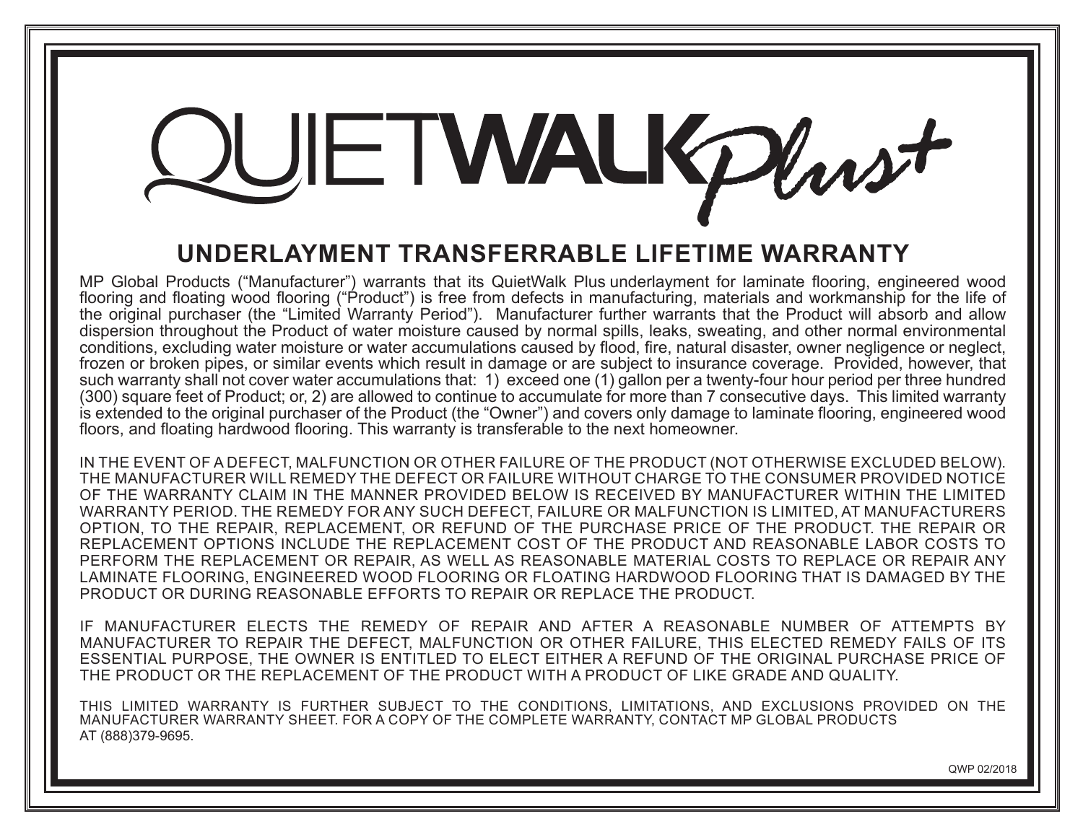## JETWALKPhast

## **Underlayment Transferrable Lifetime Warranty**

MP Global Products ("Manufacturer") warrants that its QuietWalk Plus underlayment for laminate flooring, engineered wood flooring and floating wood flooring ("Product") is free from defects in manufacturing, materials and workmanship for the life of the original purchaser (the "Limited Warranty Period"). Manufacturer further warrants that the Product will absorb and allow dispersion throughout the Product of water moisture caused by normal spills, leaks, sweating, and other normal environmental conditions, excluding water moisture or water accumulations caused by flood, fire, natural disaster, owner negligence or neglect, frozen or broken pipes, or similar events which result in damage or are subject to insurance coverage. Provided, however, that such warranty shall not cover water accumulations that: 1) exceed one (1) gallon per a twenty-four hour period per three hundred (300) square feet of Product; or, 2) are allowed to continue to accumulate for more than 7 consecutive days. This limited warranty is extended to the original purchaser of the Product (the "Owner") and covers only damage to laminate flooring, engineered wood floors, and floating hardwood flooring. This warranty is transferable to the next homeowner.

IN THE EVENT OF A DEFECT, MALFUNCTION OR OTHER FAILURE OF THE PRODUCT (NOT OTHERWISE EXCLUDED BELOW). THE MANUFACTURER WILL REMEDY THE DEFECT OR FAILURE WITHOUT CHARGE TO THE CONSUMER PROVIDED NOTICE OF THE WARRANTY CLAIM IN THE MANNER PROVIDED BELOW IS RECEIVED BY MANUFACTURER WITHIN THE LIMITED WARRANTY PERIOD. THE REMEDY FOR ANY SUCH DEFECT, FAILURE OR MALFUNCTION IS LIMITED, AT MANUFACTURERS OPTION, TO THE REPAIR, REPLACEMENT, OR REFUND OF THE PURCHASE PRICE OF THE PRODUCT. THE REPAIR OR REPLACEMENT OPTIONS INCLUDE THE REPLACEMENT COST OF THE PRODUCT AND REASONABLE LABOR COSTS TO PERFORM THE REPLACEMENT OR REPAIR, AS WELL AS REASONABLE MATERIAL COSTS TO REPLACE OR REPAIR ANY LAMINATE flooring, engineered Wood flooring or floating hardwood FLOORING THAT IS DAMAGED BY THE PRODUCT OR DURING REASONABLE EFFORTS TO REPAIR OR REPLACE THE PRODUCT.

IF MANUFACTURER ELECTS THE REMEDY OF REPAIR AND AFTER A REASONABLE NUMBER OF ATTEMPTS BY MANUFACTURER TO REPAIR THE DEFECT, MALFUNCTION OR OTHER FAILURE, THIS ELECTED REMEDY FAILS OF ITS ESSENTIAL PURPOSE, THE OWNER IS ENTITLED TO ELECT EITHER A REFUND OF THE ORIGINAL PURCHASE PRICE OF THE PRODUCT OR THE REPLACEMENT OF THE PRODUCT WITH A PRODUCT OF LIKE GRADE AND QUALITY.

THIS LIMITED WARRANTY IS FURTHER SUBJECT TO THE CONDITIONS, LIMITATIONS, AND EXCLUSIONS PROVIDED ON THE MANUFACTURER WARRANTY SHEET. FOR A COPY OF THE COMPLETE WARRANTY, CONTACT MP GLOBAL PRODUCTS AT (888)379-9695.

QWP 02/2018